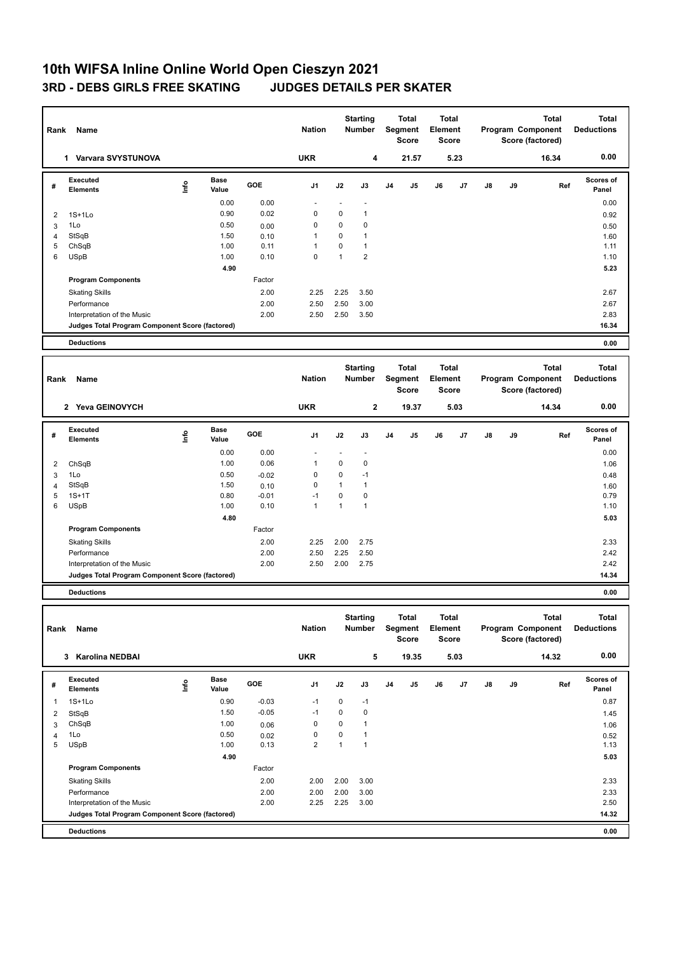## **10th WIFSA Inline Online World Open Cieszyn 2021 3RD - DEBS GIRLS FREE SKATING JUDGES DETAILS PER SKATER**

| Rank                    | Name                                            |      |                                                   |         | <b>Nation</b>  |                                         | <b>Starting</b><br><b>Number</b> |                                  | <b>Total</b><br>Segment<br><b>Score</b> | <b>Total</b><br>Element<br><b>Score</b> |      |              |                                   | <b>Total</b><br>Program Component<br>Score (factored) | Total<br><b>Deductions</b> |
|-------------------------|-------------------------------------------------|------|---------------------------------------------------|---------|----------------|-----------------------------------------|----------------------------------|----------------------------------|-----------------------------------------|-----------------------------------------|------|--------------|-----------------------------------|-------------------------------------------------------|----------------------------|
|                         | 1 Varvara SVYSTUNOVA                            |      |                                                   |         | <b>UKR</b>     |                                         | 4                                |                                  | 21.57                                   |                                         | 5.23 |              |                                   | 16.34                                                 | 0.00                       |
| #                       | Executed<br><b>Elements</b>                     | lnfo | <b>Base</b><br>Value                              | GOE     | J <sub>1</sub> | J2                                      | J3                               | J <sub>4</sub>                   | J5                                      | J6                                      | J7   | J8           | J9                                | Ref                                                   | <b>Scores of</b><br>Panel  |
|                         |                                                 |      | 0.00                                              | 0.00    | ä,             | ÷,                                      | $\overline{a}$                   |                                  |                                         |                                         |      |              |                                   |                                                       | 0.00                       |
| $\overline{2}$          | $1S+1Lo$                                        |      | 0.90                                              | 0.02    | $\mathbf 0$    | $\mathbf 0$                             | $\mathbf{1}$                     |                                  |                                         |                                         |      |              |                                   |                                                       | 0.92                       |
| 3                       | 1Lo                                             |      | 0.50                                              | 0.00    | $\mathbf 0$    | $\mathbf 0$                             | 0                                |                                  |                                         |                                         |      |              |                                   |                                                       | 0.50                       |
| $\overline{4}$          | StSqB                                           |      | 1.50                                              | 0.10    | $\mathbf{1}$   | $\mathbf 0$                             | $\mathbf{1}$                     |                                  |                                         |                                         |      |              |                                   |                                                       | 1.60                       |
| 5                       | ChSqB                                           |      | 1.00                                              | 0.11    | $\mathbf{1}$   | $\mathbf 0$                             | $\mathbf{1}$                     |                                  |                                         |                                         |      |              |                                   |                                                       | 1.11                       |
| 6                       | <b>USpB</b>                                     |      | 1.00                                              | 0.10    | $\mathbf 0$    | $\overline{1}$                          | $\overline{2}$                   |                                  |                                         |                                         |      |              |                                   |                                                       | 1.10                       |
|                         |                                                 |      | 4.90                                              |         |                |                                         |                                  |                                  |                                         |                                         |      |              |                                   |                                                       | 5.23                       |
|                         | <b>Program Components</b>                       |      |                                                   | Factor  |                |                                         |                                  |                                  |                                         |                                         |      |              |                                   |                                                       |                            |
|                         | <b>Skating Skills</b>                           |      |                                                   | 2.00    | 2.25           | 2.25                                    | 3.50                             |                                  |                                         |                                         |      |              |                                   |                                                       | 2.67                       |
|                         | Performance                                     |      |                                                   | 2.00    | 2.50           | 2.50                                    | 3.00                             |                                  |                                         |                                         |      |              |                                   |                                                       | 2.67                       |
|                         | Interpretation of the Music                     |      |                                                   | 2.00    | 2.50           | 2.50                                    | 3.50                             |                                  |                                         |                                         |      |              |                                   |                                                       | 2.83                       |
|                         | Judges Total Program Component Score (factored) |      |                                                   |         |                |                                         |                                  |                                  |                                         |                                         |      |              |                                   |                                                       | 16.34                      |
|                         | <b>Deductions</b>                               |      |                                                   |         |                |                                         |                                  |                                  |                                         |                                         |      |              |                                   |                                                       | 0.00                       |
|                         |                                                 |      |                                                   |         |                |                                         |                                  |                                  |                                         |                                         |      |              |                                   |                                                       |                            |
| Rank<br>Name            |                                                 |      | <b>Starting</b><br><b>Nation</b><br><b>Number</b> |         |                | <b>Total</b><br>Segment<br><b>Score</b> |                                  | Total<br>Element<br><b>Score</b> |                                         | Program Component<br>Score (factored)   |      | <b>Total</b> | <b>Total</b><br><b>Deductions</b> |                                                       |                            |
|                         | 2 Yeva GEINOVYCH                                |      |                                                   |         | <b>UKR</b>     |                                         | $\bf 2$                          |                                  | 19.37                                   |                                         | 5.03 |              |                                   | 14.34                                                 | 0.00                       |
| #                       | Executed<br><b>Elements</b>                     | lnfo | <b>Base</b><br>Value                              | GOE     | J <sub>1</sub> | J2                                      | J3                               | J <sub>4</sub>                   | J5                                      | J6                                      | J7   | J8           | J9                                | Ref                                                   | <b>Scores of</b><br>Panel  |
|                         |                                                 |      | 0.00                                              | 0.00    | ä,             | ÷,                                      | ä,                               |                                  |                                         |                                         |      |              |                                   |                                                       | 0.00                       |
| $\overline{\mathbf{c}}$ | ChSqB                                           |      | 1.00                                              | 0.06    | $\mathbf{1}$   | $\mathbf 0$                             | 0                                |                                  |                                         |                                         |      |              |                                   |                                                       | 1.06                       |
| 3                       | 1Lo                                             |      | 0.50                                              | $-0.02$ | $\mathbf 0$    | $\mathbf 0$                             | $-1$                             |                                  |                                         |                                         |      |              |                                   |                                                       | 0.48                       |
| $\overline{4}$          | StSqB                                           |      | 1.50                                              | 0.10    | $\mathbf 0$    | $\mathbf{1}$                            | $\mathbf{1}$                     |                                  |                                         |                                         |      |              |                                   |                                                       | 1.60                       |
| 5                       | $1S+1T$                                         |      | 0.80                                              | $-0.01$ | $-1$           | $\mathbf 0$                             | 0                                |                                  |                                         |                                         |      |              |                                   |                                                       | 0.79                       |
| 6                       | <b>USpB</b>                                     |      | 1.00                                              | 0.10    | $\mathbf{1}$   | $\overline{1}$                          | $\mathbf{1}$                     |                                  |                                         |                                         |      |              |                                   |                                                       | 1.10                       |
|                         |                                                 |      | 4.80                                              |         |                |                                         |                                  |                                  |                                         |                                         |      |              |                                   |                                                       | 5.03                       |
|                         | <b>Program Components</b>                       |      |                                                   | Factor  |                |                                         |                                  |                                  |                                         |                                         |      |              |                                   |                                                       |                            |
|                         | <b>Skating Skills</b>                           |      |                                                   | 2.00    | 2.25           | 2.00                                    | 2.75                             |                                  |                                         |                                         |      |              |                                   |                                                       | 2.33                       |
|                         | Performance                                     |      |                                                   | 2.00    | 2.50           | 2.25                                    | 2.50                             |                                  |                                         |                                         |      |              |                                   |                                                       | 2.42                       |
|                         | Interpretation of the Music                     |      |                                                   | 2.00    | 2.50           | 2.00                                    | 2.75                             |                                  |                                         |                                         |      |              |                                   |                                                       | 2.42                       |
|                         | Judges Total Program Component Score (factored) |      |                                                   |         |                |                                         |                                  |                                  |                                         |                                         |      |              |                                   |                                                       | 14.34                      |
|                         | <b>Deductions</b>                               |      |                                                   |         |                |                                         |                                  |                                  |                                         |                                         |      |              |                                   |                                                       | 0.00                       |
|                         |                                                 |      |                                                   |         |                | ~-                                      |                                  |                                  |                                         | $-1$                                    |      |              |                                   | .                                                     | .                          |

| Rank           | Name                                            |      |                      |         | <b>Nation</b>  |          | <b>Starting</b><br>Number |    | <b>Total</b><br>Segment<br><b>Score</b> | <b>Total</b><br>Element<br>Score |      |    |    | <b>Total</b><br>Program Component<br>Score (factored) | <b>Total</b><br><b>Deductions</b> |
|----------------|-------------------------------------------------|------|----------------------|---------|----------------|----------|---------------------------|----|-----------------------------------------|----------------------------------|------|----|----|-------------------------------------------------------|-----------------------------------|
|                | <b>Karolina NEDBAI</b><br>3                     |      |                      |         | <b>UKR</b>     |          | 5                         |    | 19.35                                   |                                  | 5.03 |    |    | 14.32                                                 | 0.00                              |
| #              | Executed<br><b>Elements</b>                     | ١nf٥ | <b>Base</b><br>Value | GOE     | J <sub>1</sub> | J2       | J3                        | J4 | J <sub>5</sub>                          | J6                               | J7   | J8 | J9 | Ref                                                   | Scores of<br>Panel                |
|                | $1S+1Lo$                                        |      | 0.90                 | $-0.03$ | $-1$           | 0        | $-1$                      |    |                                         |                                  |      |    |    |                                                       | 0.87                              |
| 2              | StSqB                                           |      | 1.50                 | $-0.05$ | $-1$           | $\Omega$ | $\mathbf 0$               |    |                                         |                                  |      |    |    |                                                       | 1.45                              |
| 3              | ChSqB                                           |      | 1.00                 | 0.06    | 0              | 0        | 1                         |    |                                         |                                  |      |    |    |                                                       | 1.06                              |
| $\overline{4}$ | 1Lo                                             |      | 0.50                 | 0.02    | 0              | 0        |                           |    |                                         |                                  |      |    |    |                                                       | 0.52                              |
| 5              | <b>USpB</b>                                     |      | 1.00                 | 0.13    | $\overline{2}$ | 1        | 1                         |    |                                         |                                  |      |    |    |                                                       | 1.13                              |
|                |                                                 |      | 4.90                 |         |                |          |                           |    |                                         |                                  |      |    |    |                                                       | 5.03                              |
|                | <b>Program Components</b>                       |      |                      | Factor  |                |          |                           |    |                                         |                                  |      |    |    |                                                       |                                   |
|                | <b>Skating Skills</b>                           |      |                      | 2.00    | 2.00           | 2.00     | 3.00                      |    |                                         |                                  |      |    |    |                                                       | 2.33                              |
|                | Performance                                     |      |                      | 2.00    | 2.00           | 2.00     | 3.00                      |    |                                         |                                  |      |    |    |                                                       | 2.33                              |
|                | Interpretation of the Music                     |      |                      | 2.00    | 2.25           | 2.25     | 3.00                      |    |                                         |                                  |      |    |    |                                                       | 2.50                              |
|                | Judges Total Program Component Score (factored) |      |                      |         |                |          |                           |    |                                         |                                  |      |    |    |                                                       | 14.32                             |
|                | <b>Deductions</b>                               |      |                      |         |                |          |                           |    |                                         |                                  |      |    |    |                                                       | 0.00                              |